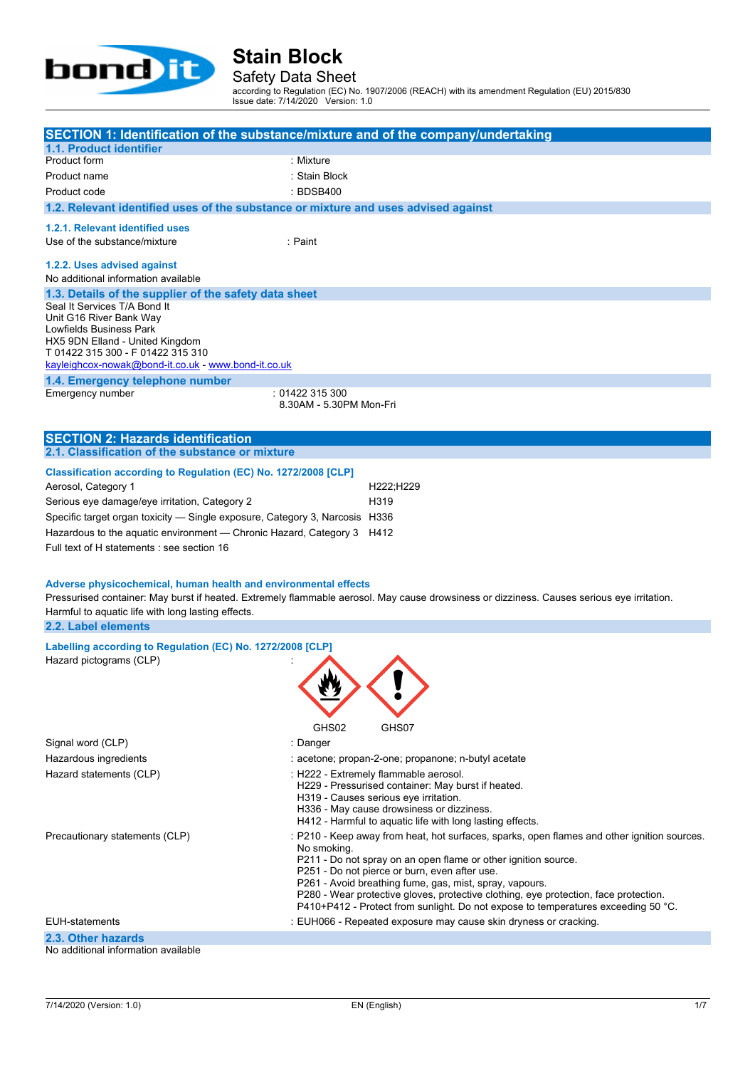

Safety Data Sheet

according to Regulation (EC) No. 1907/2006 (REACH) with its amendment Regulation (EU) 2015/830 Issue date: 7/14/2020 Version: 1.0

| 1.1. Product identifier                                                                                                                                                                                                                                                    | SECTION 1: Identification of the substance/mixture and of the company/undertaking                                                                                                                                                                                                                                                                                                                                                                                     |
|----------------------------------------------------------------------------------------------------------------------------------------------------------------------------------------------------------------------------------------------------------------------------|-----------------------------------------------------------------------------------------------------------------------------------------------------------------------------------------------------------------------------------------------------------------------------------------------------------------------------------------------------------------------------------------------------------------------------------------------------------------------|
| Product form                                                                                                                                                                                                                                                               | : Mixture                                                                                                                                                                                                                                                                                                                                                                                                                                                             |
| Product name                                                                                                                                                                                                                                                               | :Stain Block                                                                                                                                                                                                                                                                                                                                                                                                                                                          |
| Product code                                                                                                                                                                                                                                                               | : BDSB400                                                                                                                                                                                                                                                                                                                                                                                                                                                             |
| 1.2. Relevant identified uses of the substance or mixture and uses advised against                                                                                                                                                                                         |                                                                                                                                                                                                                                                                                                                                                                                                                                                                       |
|                                                                                                                                                                                                                                                                            |                                                                                                                                                                                                                                                                                                                                                                                                                                                                       |
| 1.2.1. Relevant identified uses                                                                                                                                                                                                                                            |                                                                                                                                                                                                                                                                                                                                                                                                                                                                       |
| Use of the substance/mixture                                                                                                                                                                                                                                               | : Paint                                                                                                                                                                                                                                                                                                                                                                                                                                                               |
| 1.2.2. Uses advised against                                                                                                                                                                                                                                                |                                                                                                                                                                                                                                                                                                                                                                                                                                                                       |
| No additional information available                                                                                                                                                                                                                                        |                                                                                                                                                                                                                                                                                                                                                                                                                                                                       |
| 1.3. Details of the supplier of the safety data sheet<br>Seal It Services T/A Bond It<br>Unit G16 River Bank Way<br>Lowfields Business Park<br>HX5 9DN Elland - United Kingdom<br>T 01422 315 300 - F 01422 315 310<br>kayleighcox-nowak@bond-it.co.uk - www.bond-it.co.uk |                                                                                                                                                                                                                                                                                                                                                                                                                                                                       |
| 1.4. Emergency telephone number                                                                                                                                                                                                                                            |                                                                                                                                                                                                                                                                                                                                                                                                                                                                       |
| Emergency number                                                                                                                                                                                                                                                           | : 01422 315 300<br>8.30AM - 5.30PM Mon-Fri                                                                                                                                                                                                                                                                                                                                                                                                                            |
|                                                                                                                                                                                                                                                                            |                                                                                                                                                                                                                                                                                                                                                                                                                                                                       |
|                                                                                                                                                                                                                                                                            |                                                                                                                                                                                                                                                                                                                                                                                                                                                                       |
| <b>SECTION 2: Hazards identification</b><br>2.1. Classification of the substance or mixture                                                                                                                                                                                |                                                                                                                                                                                                                                                                                                                                                                                                                                                                       |
|                                                                                                                                                                                                                                                                            |                                                                                                                                                                                                                                                                                                                                                                                                                                                                       |
| Classification according to Regulation (EC) No. 1272/2008 [CLP]                                                                                                                                                                                                            |                                                                                                                                                                                                                                                                                                                                                                                                                                                                       |
| Aerosol, Category 1                                                                                                                                                                                                                                                        | H222;H229                                                                                                                                                                                                                                                                                                                                                                                                                                                             |
| Serious eye damage/eye irritation, Category 2                                                                                                                                                                                                                              | H319                                                                                                                                                                                                                                                                                                                                                                                                                                                                  |
| Specific target organ toxicity - Single exposure, Category 3, Narcosis H336                                                                                                                                                                                                |                                                                                                                                                                                                                                                                                                                                                                                                                                                                       |
| Hazardous to the aquatic environment - Chronic Hazard, Category 3 H412                                                                                                                                                                                                     |                                                                                                                                                                                                                                                                                                                                                                                                                                                                       |
| Full text of H statements : see section 16                                                                                                                                                                                                                                 |                                                                                                                                                                                                                                                                                                                                                                                                                                                                       |
| Adverse physicochemical, human health and environmental effects<br>Harmful to aquatic life with long lasting effects.<br>2.2. Label elements                                                                                                                               | Pressurised container: May burst if heated. Extremely flammable aerosol. May cause drowsiness or dizziness. Causes serious eye irritation.                                                                                                                                                                                                                                                                                                                            |
|                                                                                                                                                                                                                                                                            |                                                                                                                                                                                                                                                                                                                                                                                                                                                                       |
| Labelling according to Regulation (EC) No. 1272/2008 [CLP]<br>Hazard pictograms (CLP)                                                                                                                                                                                      | JU.<br>GHS02<br>GHS07                                                                                                                                                                                                                                                                                                                                                                                                                                                 |
| Signal word (CLP)                                                                                                                                                                                                                                                          | : Danger                                                                                                                                                                                                                                                                                                                                                                                                                                                              |
| Hazardous ingredients                                                                                                                                                                                                                                                      | : acetone; propan-2-one; propanone; n-butyl acetate                                                                                                                                                                                                                                                                                                                                                                                                                   |
| Hazard statements (CLP)                                                                                                                                                                                                                                                    | : H222 - Extremely flammable aerosol.<br>H229 - Pressurised container: May burst if heated.<br>H319 - Causes serious eye irritation.<br>H336 - May cause drowsiness or dizziness.<br>H412 - Harmful to aquatic life with long lasting effects.                                                                                                                                                                                                                        |
| Precautionary statements (CLP)                                                                                                                                                                                                                                             | : P210 - Keep away from heat, hot surfaces, sparks, open flames and other ignition sources.<br>No smoking.<br>P211 - Do not spray on an open flame or other ignition source.<br>P251 - Do not pierce or burn, even after use.<br>P261 - Avoid breathing fume, gas, mist, spray, vapours.<br>P280 - Wear protective gloves, protective clothing, eye protection, face protection.<br>P410+P412 - Protect from sunlight. Do not expose to temperatures exceeding 50 °C. |
| <b>EUH-statements</b>                                                                                                                                                                                                                                                      | : EUH066 - Repeated exposure may cause skin dryness or cracking.                                                                                                                                                                                                                                                                                                                                                                                                      |

**2.3. Other hazards**

No additional information available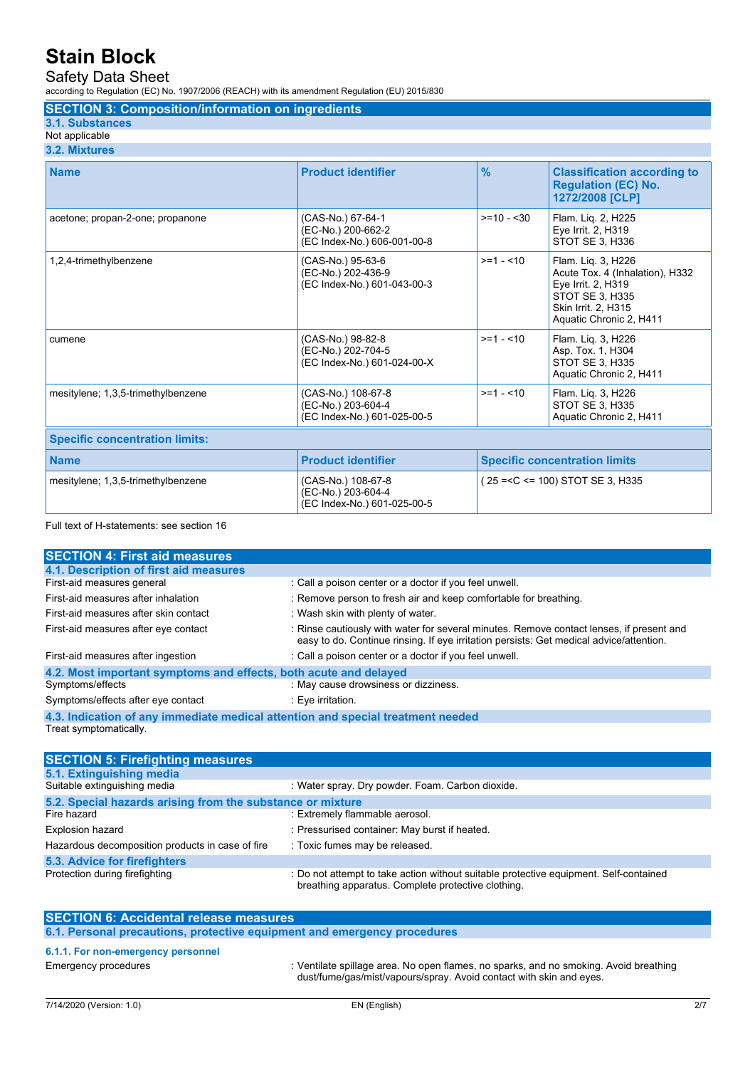#### Safety Data Sheet

according to Regulation (EC) No. 1907/2006 (REACH) with its amendment Regulation (EU) 2015/830

**SECTION 3: Composition/information on ingredients**

#### **3.1. Substances**

Not applicable **3.2. Mixtures**

| <b>Name</b>                           | <b>Product identifier</b>                                               | $\frac{9}{6}$                        | <b>Classification according to</b><br><b>Regulation (EC) No.</b><br>1272/2008 [CLP]                                                              |
|---------------------------------------|-------------------------------------------------------------------------|--------------------------------------|--------------------------------------------------------------------------------------------------------------------------------------------------|
| acetone; propan-2-one; propanone      | (CAS-No.) 67-64-1<br>(EC-No.) 200-662-2<br>(EC Index-No.) 606-001-00-8  | $>= 10 - 30$                         | Flam. Lig. 2, H225<br>Eye Irrit. 2, H319<br>STOT SE 3, H336                                                                                      |
| 1,2,4-trimethylbenzene                | (CAS-No.) 95-63-6<br>(EC-No.) 202-436-9<br>(EC Index-No.) 601-043-00-3  | $>= 1 - 10$                          | Flam. Liq. 3, H226<br>Acute Tox. 4 (Inhalation), H332<br>Eye Irrit. 2, H319<br>STOT SE 3, H335<br>Skin Irrit. 2, H315<br>Aquatic Chronic 2, H411 |
| cumene                                | (CAS-No.) 98-82-8<br>(EC-No.) 202-704-5<br>(EC Index-No.) 601-024-00-X  | $>=1 - 10$                           | Flam. Liq. 3, H226<br>Asp. Tox. 1, H304<br>STOT SE 3, H335<br>Aquatic Chronic 2, H411                                                            |
| mesitylene; 1,3,5-trimethylbenzene    | (CAS-No.) 108-67-8<br>(EC-No.) 203-604-4<br>(EC Index-No.) 601-025-00-5 | $>= 1 - 10$                          | Flam. Lig. 3, H226<br><b>STOT SE 3, H335</b><br>Aquatic Chronic 2, H411                                                                          |
| <b>Specific concentration limits:</b> |                                                                         |                                      |                                                                                                                                                  |
| <b>Name</b>                           | <b>Product identifier</b>                                               | <b>Specific concentration limits</b> |                                                                                                                                                  |
| mesitylene; 1,3,5-trimethylbenzene    | (CAS-No.) 108-67-8<br>(EC-No.) 203-604-4<br>(EC Index-No.) 601-025-00-5 | $(25 = C < 100)$ STOT SE 3, H335     |                                                                                                                                                  |

#### Full text of H-statements: see section 16

| <b>SECTION 4: First aid measures</b>                                            |                                                                                                                                                                                     |  |
|---------------------------------------------------------------------------------|-------------------------------------------------------------------------------------------------------------------------------------------------------------------------------------|--|
| 4.1. Description of first aid measures                                          |                                                                                                                                                                                     |  |
| First-aid measures general                                                      | : Call a poison center or a doctor if you feel unwell.                                                                                                                              |  |
| First-aid measures after inhalation                                             | : Remove person to fresh air and keep comfortable for breathing.                                                                                                                    |  |
| First-aid measures after skin contact                                           | : Wash skin with plenty of water.                                                                                                                                                   |  |
| First-aid measures after eye contact                                            | : Rinse cautiously with water for several minutes. Remove contact lenses, if present and<br>easy to do. Continue rinsing. If eye irritation persists: Get medical advice/attention. |  |
| First-aid measures after ingestion                                              | : Call a poison center or a doctor if you feel unwell.                                                                                                                              |  |
| 4.2. Most important symptoms and effects, both acute and delayed                |                                                                                                                                                                                     |  |
| Symptoms/effects                                                                | : May cause drowsiness or dizziness.                                                                                                                                                |  |
| Symptoms/effects after eye contact                                              | : Eye irritation.                                                                                                                                                                   |  |
| 4.3. Indication of any immediate medical attention and special treatment needed |                                                                                                                                                                                     |  |

Treat symptomatically.

| <b>SECTION 5: Firefighting measures</b>                    |                                                                                                                                             |  |
|------------------------------------------------------------|---------------------------------------------------------------------------------------------------------------------------------------------|--|
| 5.1. Extinguishing media                                   |                                                                                                                                             |  |
| Suitable extinguishing media                               | : Water spray. Dry powder. Foam. Carbon dioxide.                                                                                            |  |
| 5.2. Special hazards arising from the substance or mixture |                                                                                                                                             |  |
| Fire hazard                                                | : Extremely flammable aerosol.                                                                                                              |  |
| <b>Explosion hazard</b>                                    | : Pressurised container: May burst if heated.                                                                                               |  |
| Hazardous decomposition products in case of fire           | : Toxic fumes may be released.                                                                                                              |  |
| 5.3. Advice for firefighters                               |                                                                                                                                             |  |
| Protection during firefighting                             | : Do not attempt to take action without suitable protective equipment. Self-contained<br>breathing apparatus. Complete protective clothing. |  |

| <b>SECTION 6: Accidental release measures</b> |                                                                                                                                                              |
|-----------------------------------------------|--------------------------------------------------------------------------------------------------------------------------------------------------------------|
|                                               | 6.1. Personal precautions, protective equipment and emergency procedures                                                                                     |
| 6.1.1. For non-emergency personnel            |                                                                                                                                                              |
| Emergency procedures                          | : Ventilate spillage area. No open flames, no sparks, and no smoking. Avoid breathing<br>dust/fume/gas/mist/vapours/spray. Avoid contact with skin and eyes. |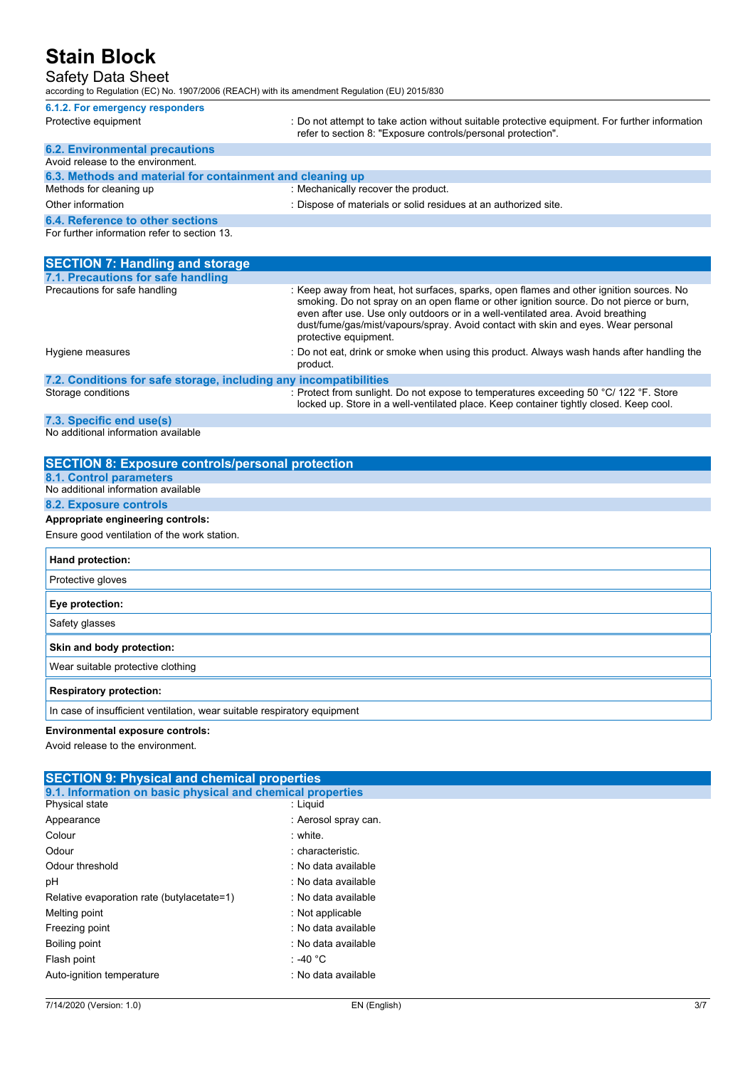#### Safety Data Sheet

according to Regulation (EC) No. 1907/2006 (REACH) with its amendment Regulation (EU) 2015/830

| 6.1.2. For emergency responders                           |                                                                                                                                                                |
|-----------------------------------------------------------|----------------------------------------------------------------------------------------------------------------------------------------------------------------|
| Protective equipment                                      | : Do not attempt to take action without suitable protective equipment. For further information<br>refer to section 8: "Exposure controls/personal protection". |
| <b>6.2. Environmental precautions</b>                     |                                                                                                                                                                |
| Avoid release to the environment.                         |                                                                                                                                                                |
| 6.3. Methods and material for containment and cleaning up |                                                                                                                                                                |
| Methods for cleaning up                                   | : Mechanically recover the product.                                                                                                                            |
| Other information                                         | : Dispose of materials or solid residues at an authorized site.                                                                                                |
| 6.4. Reference to other sections                          |                                                                                                                                                                |
| For further information refer to section 13.              |                                                                                                                                                                |

| <b>SECTION 7: Handling and storage</b>                            |                                                                                                                                                                                                                                                                                                                                                                                     |
|-------------------------------------------------------------------|-------------------------------------------------------------------------------------------------------------------------------------------------------------------------------------------------------------------------------------------------------------------------------------------------------------------------------------------------------------------------------------|
| 7.1. Precautions for safe handling                                |                                                                                                                                                                                                                                                                                                                                                                                     |
| Precautions for safe handling                                     | : Keep away from heat, hot surfaces, sparks, open flames and other ignition sources. No<br>smoking. Do not spray on an open flame or other ignition source. Do not pierce or burn,<br>even after use. Use only outdoors or in a well-ventilated area. Avoid breathing<br>dust/fume/gas/mist/vapours/spray. Avoid contact with skin and eyes. Wear personal<br>protective equipment. |
| Hygiene measures                                                  | : Do not eat, drink or smoke when using this product. Always wash hands after handling the<br>product.                                                                                                                                                                                                                                                                              |
| 7.2. Conditions for safe storage, including any incompatibilities |                                                                                                                                                                                                                                                                                                                                                                                     |
| Storage conditions                                                | : Protect from sunlight. Do not expose to temperatures exceeding 50 °C/ 122 °F. Store<br>locked up. Store in a well-ventilated place. Keep container tightly closed. Keep cool.                                                                                                                                                                                                     |
|                                                                   |                                                                                                                                                                                                                                                                                                                                                                                     |

**7.3. Specific end use(s)** No additional information available

| <b>SECTION 8: Exposure controls/personal protection</b>                  |
|--------------------------------------------------------------------------|
| <b>8.1. Control parameters</b>                                           |
| No additional information available                                      |
| 8.2. Exposure controls                                                   |
| Appropriate engineering controls:                                        |
| Ensure good ventilation of the work station.                             |
| Hand protection:                                                         |
| Protective gloves                                                        |
| Eye protection:                                                          |
| Safety glasses                                                           |
| Skin and body protection:                                                |
| Wear suitable protective clothing                                        |
| <b>Respiratory protection:</b>                                           |
| In case of insufficient ventilation, wear suitable respiratory equipment |

#### **Environmental exposure controls:**

Avoid release to the environment.

| <b>SECTION 9: Physical and chemical properties</b>         |                      |  |
|------------------------------------------------------------|----------------------|--|
| 9.1. Information on basic physical and chemical properties |                      |  |
| Physical state                                             | : Liquid             |  |
| Appearance                                                 | : Aerosol spray can. |  |
| Colour                                                     | : white.             |  |
| Odour                                                      | : characteristic.    |  |
| Odour threshold                                            | : No data available  |  |
| рH                                                         | : No data available  |  |
| Relative evaporation rate (butylacetate=1)                 | : No data available  |  |
| Melting point                                              | : Not applicable     |  |
| Freezing point                                             | : No data available  |  |
| Boiling point                                              | : No data available  |  |
| Flash point                                                | : -40 °C             |  |
| Auto-ignition temperature                                  | : No data available  |  |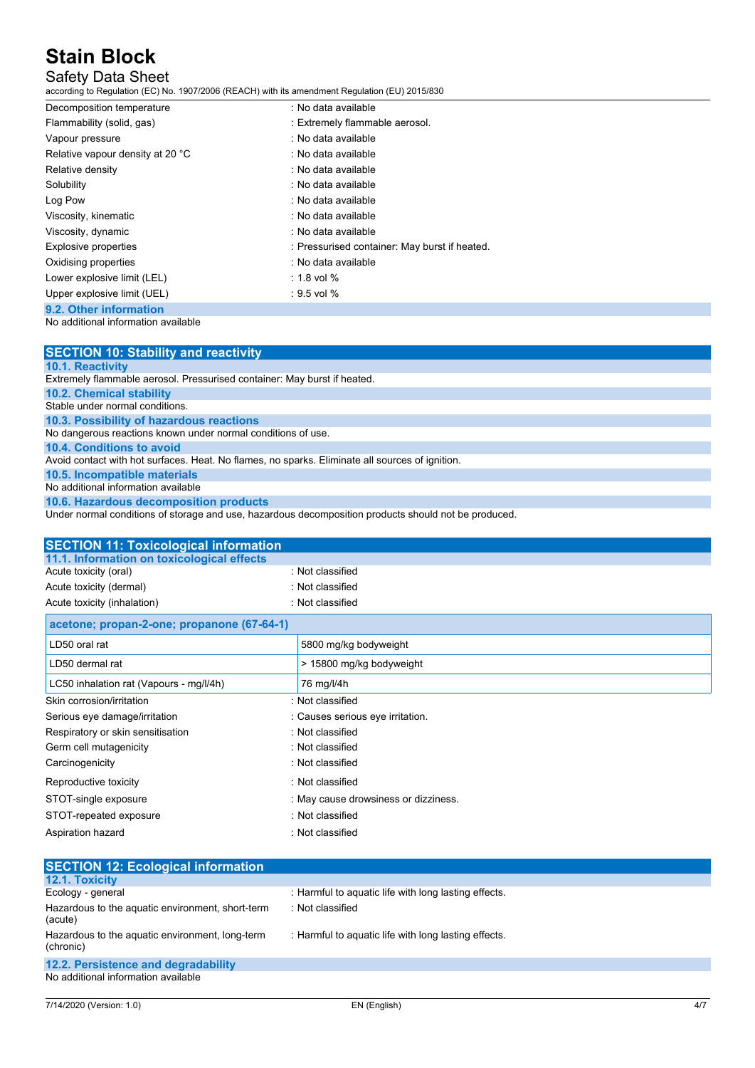### Safety Data Sheet

according to Regulation (EC) No. 1907/2006 (REACH) with its amendment Regulation (EU) 2015/830

| Decomposition temperature                        | : No data available                           |
|--------------------------------------------------|-----------------------------------------------|
| Flammability (solid, gas)                        | : Extremely flammable aerosol.                |
| Vapour pressure                                  | : No data available                           |
| Relative vapour density at 20 °C                 | : No data available                           |
| Relative density                                 | : No data available                           |
| Solubility                                       | : No data available                           |
| Log Pow                                          | : No data available                           |
| Viscosity, kinematic                             | : No data available                           |
| Viscosity, dynamic                               | : No data available                           |
| Explosive properties                             | : Pressurised container: May burst if heated. |
| Oxidising properties                             | : No data available                           |
| Lower explosive limit (LEL)                      | $: 1.8$ vol $%$                               |
| Upper explosive limit (UEL)                      | $: 9.5$ vol $%$                               |
| $\sim$ $\sim$ $\sim$ $\sim$ $\sim$ $\sim$ $\sim$ |                                               |

### **9.2. Other information**

### No additional information available

| <b>SECTION 10: Stability and reactivity</b>                                                     |
|-------------------------------------------------------------------------------------------------|
| 10.1. Reactivity                                                                                |
| Extremely flammable aerosol. Pressurised container: May burst if heated.                        |
| <b>10.2. Chemical stability</b>                                                                 |
| Stable under normal conditions.                                                                 |
| 10.3. Possibility of hazardous reactions                                                        |
| No dangerous reactions known under normal conditions of use.                                    |
| <b>10.4. Conditions to avoid</b>                                                                |
| Avoid contact with hot surfaces. Heat. No flames, no sparks. Eliminate all sources of ignition. |
| 10.5. Incompatible materials                                                                    |
| No additional information available                                                             |
| 10.6. Hazardous decomposition products                                                          |

Under normal conditions of storage and use, hazardous decomposition products should not be produced.

| <b>SECTION 11: Toxicological information</b> |                                      |
|----------------------------------------------|--------------------------------------|
| 11.1. Information on toxicological effects   |                                      |
| Acute toxicity (oral)                        | : Not classified                     |
| Acute toxicity (dermal)                      | : Not classified                     |
| Acute toxicity (inhalation)                  | : Not classified                     |
| acetone; propan-2-one; propanone (67-64-1)   |                                      |
| LD50 oral rat                                | 5800 mg/kg bodyweight                |
| LD50 dermal rat                              | > 15800 mg/kg bodyweight             |
| LC50 inhalation rat (Vapours - mg/l/4h)      | 76 mg/l/4h                           |
| Skin corrosion/irritation                    | : Not classified                     |
| Serious eye damage/irritation                | : Causes serious eye irritation.     |
| Respiratory or skin sensitisation            | : Not classified                     |
| Germ cell mutagenicity                       | : Not classified                     |
| Carcinogenicity                              | : Not classified                     |
| Reproductive toxicity                        | : Not classified                     |
| STOT-single exposure                         | : May cause drowsiness or dizziness. |
| STOT-repeated exposure                       | : Not classified                     |
| Aspiration hazard                            | : Not classified                     |

| <b>SECTION 12: Ecological information</b>                    |                                                      |
|--------------------------------------------------------------|------------------------------------------------------|
| <b>12.1. Toxicity</b>                                        |                                                      |
| Ecology - general                                            | : Harmful to aquatic life with long lasting effects. |
| Hazardous to the aquatic environment, short-term<br>(acute)  | : Not classified                                     |
| Hazardous to the aquatic environment, long-term<br>(chronic) | : Harmful to aquatic life with long lasting effects. |
| 12.2. Persistence and degradability                          |                                                      |
| No additional information available                          |                                                      |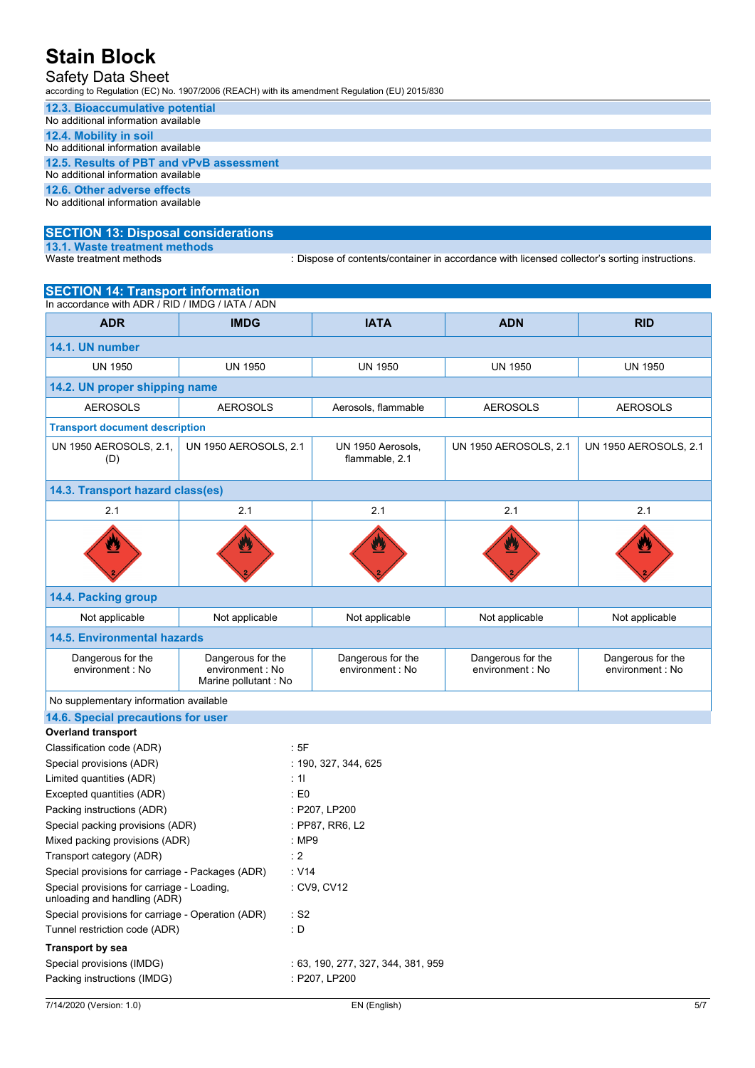### Safety Data Sheet

according to Regulation (EC) No. 1907/2006 (REACH) with its amendment Regulation (EU) 2015/830

| 12.3. Bioaccumulative potential          |  |  |
|------------------------------------------|--|--|
| No additional information available      |  |  |
| 12.4. Mobility in soil                   |  |  |
| No additional information available      |  |  |
| 12.5. Results of PBT and vPvB assessment |  |  |
| No additional information available      |  |  |
| 12.6. Other adverse effects              |  |  |
| No additional information available      |  |  |

### **SECTION 13: Disposal considerations 13.1. Waste treatment methods**

: Dispose of contents/container in accordance with licensed collector's sorting instructions.

| <b>SECTION 14: Transport information</b><br>In accordance with ADR / RID / IMDG / IATA / ADN |                                                                |                                       |                                      |                                       |  |
|----------------------------------------------------------------------------------------------|----------------------------------------------------------------|---------------------------------------|--------------------------------------|---------------------------------------|--|
|                                                                                              |                                                                |                                       |                                      |                                       |  |
| <b>ADR</b>                                                                                   | <b>IMDG</b>                                                    | <b>IATA</b>                           | <b>ADN</b>                           | <b>RID</b>                            |  |
| 14.1. UN number                                                                              |                                                                |                                       |                                      |                                       |  |
| <b>UN 1950</b>                                                                               | <b>UN 1950</b>                                                 | <b>UN 1950</b>                        | <b>UN 1950</b>                       | <b>UN 1950</b>                        |  |
| 14.2. UN proper shipping name                                                                |                                                                |                                       |                                      |                                       |  |
| <b>AEROSOLS</b>                                                                              | <b>AEROSOLS</b>                                                | Aerosols, flammable                   | <b>AEROSOLS</b>                      | <b>AEROSOLS</b>                       |  |
| <b>Transport document description</b>                                                        |                                                                |                                       |                                      |                                       |  |
| UN 1950 AEROSOLS, 2.1,<br>(D)                                                                | UN 1950 AEROSOLS, 2.1                                          | UN 1950 Aerosols,<br>flammable, 2.1   | <b>UN 1950 AEROSOLS, 2.1</b>         | <b>UN 1950 AEROSOLS, 2.1</b>          |  |
| 14.3. Transport hazard class(es)                                                             |                                                                |                                       |                                      |                                       |  |
| 2.1                                                                                          | 2.1                                                            | 2.1                                   | 2.1                                  | 2.1                                   |  |
|                                                                                              |                                                                |                                       |                                      |                                       |  |
| 14.4. Packing group                                                                          |                                                                |                                       |                                      |                                       |  |
| Not applicable                                                                               | Not applicable                                                 | Not applicable                        | Not applicable                       | Not applicable                        |  |
| <b>14.5. Environmental hazards</b>                                                           |                                                                |                                       |                                      |                                       |  |
| Dangerous for the<br>environment : No                                                        | Dangerous for the<br>environment : No<br>Marine pollutant : No | Dangerous for the<br>environment : No | Dangerous for the<br>environment: No | Dangerous for the<br>environment : No |  |
| No supplementary information available                                                       |                                                                |                                       |                                      |                                       |  |
| 14.6. Special precautions for user                                                           |                                                                |                                       |                                      |                                       |  |
| <b>Overland transport</b>                                                                    |                                                                |                                       |                                      |                                       |  |
| Classification code (ADR)                                                                    | :5F                                                            |                                       |                                      |                                       |  |
| Special provisions (ADR)                                                                     |                                                                | : 190, 327, 344, 625                  |                                      |                                       |  |
| Limited quantities (ADR)                                                                     | : 11                                                           |                                       |                                      |                                       |  |
| Excepted quantities (ADR)                                                                    | $\pm 50$                                                       |                                       |                                      |                                       |  |
| Packing instructions (ADR)                                                                   |                                                                | : P207, LP200                         |                                      |                                       |  |
| Special packing provisions (ADR)                                                             |                                                                | : PP87, RR6, L2                       |                                      |                                       |  |
| Mixed packing provisions (ADR)                                                               | : MP9                                                          |                                       |                                      |                                       |  |
| Transport category (ADR)                                                                     | : 2                                                            |                                       |                                      |                                       |  |
| Special provisions for carriage - Packages (ADR)                                             | : V14                                                          |                                       |                                      |                                       |  |
| Special provisions for carriage - Loading,<br>unloading and handling (ADR)                   |                                                                | : CV9, CV12                           |                                      |                                       |  |
| Special provisions for carriage - Operation (ADR)                                            | : S2                                                           |                                       |                                      |                                       |  |
| Tunnel restriction code (ADR)                                                                | $\therefore$ D                                                 |                                       |                                      |                                       |  |
| <b>Transport by sea</b>                                                                      |                                                                |                                       |                                      |                                       |  |
| Special provisions (IMDG)                                                                    |                                                                | : 63, 190, 277, 327, 344, 381, 959    |                                      |                                       |  |
| Packing instructions (IMDG)                                                                  |                                                                | : P207, LP200                         |                                      |                                       |  |
| 7/14/2020 (Version: 1.0)                                                                     |                                                                | EN (English)                          |                                      | 5/7                                   |  |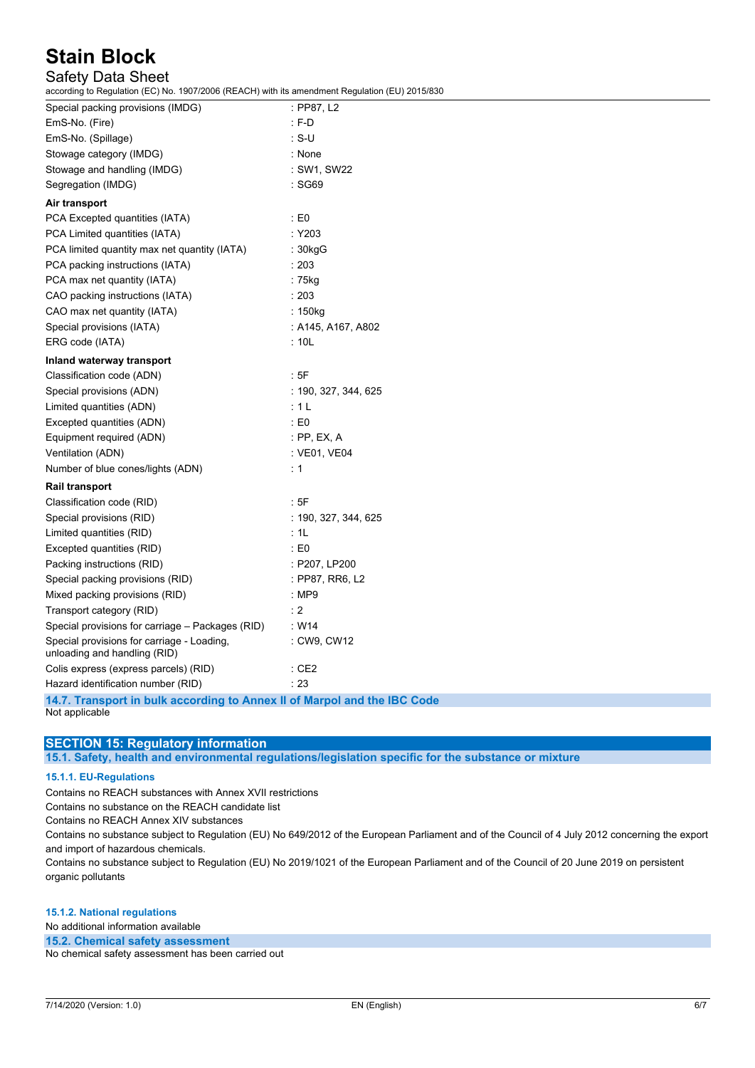### Safety Data Sheet

according to Regulation (EC) No. 1907/2006 (REACH) with its amendment Regulation (EU) 2015/830

| $\frac{1}{2}$ . The magnetic matrix $\frac{1}{2}$ . The magnetic matrix $\frac{1}{2}$ . The magnetic magnetic matrix $\frac{1}{2}$ |                      |
|------------------------------------------------------------------------------------------------------------------------------------|----------------------|
| Special packing provisions (IMDG)                                                                                                  | : PP87, L2           |
| EmS-No. (Fire)                                                                                                                     | $: F-D$              |
| EmS-No. (Spillage)                                                                                                                 | $\cdot$ S-U          |
| Stowage category (IMDG)                                                                                                            | : None               |
| Stowage and handling (IMDG)                                                                                                        | : SW1, SW22          |
| Segregation (IMDG)                                                                                                                 | : SG69               |
| Air transport                                                                                                                      |                      |
| PCA Excepted quantities (IATA)                                                                                                     | $\therefore$ E0      |
| PCA Limited quantities (IATA)                                                                                                      | :Y203                |
| PCA limited quantity max net quantity (IATA)                                                                                       | : 30kgG              |
| PCA packing instructions (IATA)                                                                                                    | : 203                |
| PCA max net quantity (IATA)                                                                                                        | $:75$ kg             |
| CAO packing instructions (IATA)                                                                                                    | : 203                |
| CAO max net quantity (IATA)                                                                                                        | : 150kg              |
| Special provisions (IATA)                                                                                                          | : A145, A167, A802   |
| ERG code (IATA)                                                                                                                    | : 10L                |
| Inland waterway transport                                                                                                          |                      |
| Classification code (ADN)                                                                                                          | :5F                  |
| Special provisions (ADN)                                                                                                           | : 190, 327, 344, 625 |
| Limited quantities (ADN)                                                                                                           | :1L                  |
| Excepted quantities (ADN)                                                                                                          | $\therefore$ E0      |
| Equipment required (ADN)                                                                                                           | $:$ PP, EX, A        |
| Ventilation (ADN)                                                                                                                  | : VE01, VE04         |
| Number of blue cones/lights (ADN)                                                                                                  | $\div$ 1             |
| <b>Rail transport</b>                                                                                                              |                      |
| Classification code (RID)                                                                                                          | : 5F                 |
| Special provisions (RID)                                                                                                           | : 190, 327, 344, 625 |
| Limited quantities (RID)                                                                                                           | : 1L                 |
| Excepted quantities (RID)                                                                                                          | $\therefore$ E0      |
| Packing instructions (RID)                                                                                                         | : P207, LP200        |
| Special packing provisions (RID)                                                                                                   | : PP87, RR6, L2      |
| Mixed packing provisions (RID)                                                                                                     | : MP9                |
| Transport category (RID)                                                                                                           | : 2                  |
| Special provisions for carriage - Packages (RID)                                                                                   | W14                  |
| Special provisions for carriage - Loading,<br>unloading and handling (RID)                                                         | : CW9, CW12          |
| Colis express (express parcels) (RID)                                                                                              | $\therefore$ CE2     |
| Hazard identification number (RID)                                                                                                 | : 23                 |
| 14.7 Transport in bulk seconding to Annex II of Marnel and the IPC Code                                                            |                      |

**14.7. Transport in bulk according to Annex II of Marpol and the IBC Code** Not applicable

### **SECTION 15: Regulatory information**

**15.1. Safety, health and environmental regulations/legislation specific for the substance or mixture**

#### **15.1.1. EU-Regulations**

Contains no REACH substances with Annex XVII restrictions

Contains no substance on the REACH candidate list

Contains no REACH Annex XIV substances

Contains no substance subject to Regulation (EU) No 649/2012 of the European Parliament and of the Council of 4 July 2012 concerning the export and import of hazardous chemicals.

Contains no substance subject to Regulation (EU) No 2019/1021 of the European Parliament and of the Council of 20 June 2019 on persistent organic pollutants

#### **15.1.2. National regulations**

No additional information available

**15.2. Chemical safety assessment**

No chemical safety assessment has been carried out